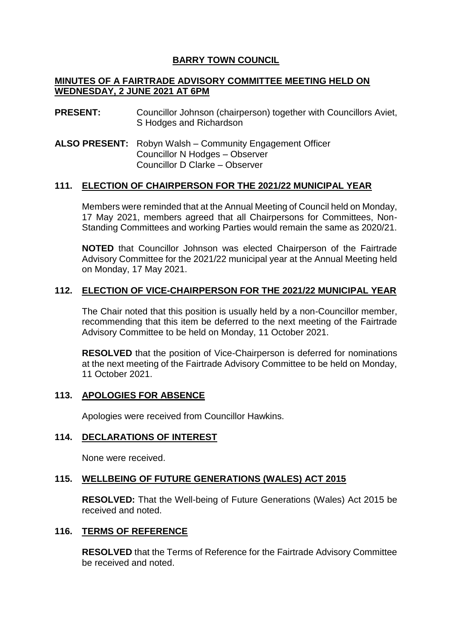# **BARRY TOWN COUNCIL**

# **MINUTES OF A FAIRTRADE ADVISORY COMMITTEE MEETING HELD ON WEDNESDAY, 2 JUNE 2021 AT 6PM**

- **PRESENT:** Councillor Johnson (chairperson) together with Councillors Aviet, S Hodges and Richardson
- **ALSO PRESENT:** Robyn Walsh Community Engagement Officer Councillor N Hodges – Observer Councillor D Clarke – Observer

### **111. ELECTION OF CHAIRPERSON FOR THE 2021/22 MUNICIPAL YEAR**

Members were reminded that at the Annual Meeting of Council held on Monday, 17 May 2021, members agreed that all Chairpersons for Committees, Non-Standing Committees and working Parties would remain the same as 2020/21.

**NOTED** that Councillor Johnson was elected Chairperson of the Fairtrade Advisory Committee for the 2021/22 municipal year at the Annual Meeting held on Monday, 17 May 2021.

# **112. ELECTION OF VICE-CHAIRPERSON FOR THE 2021/22 MUNICIPAL YEAR**

The Chair noted that this position is usually held by a non-Councillor member, recommending that this item be deferred to the next meeting of the Fairtrade Advisory Committee to be held on Monday, 11 October 2021.

**RESOLVED** that the position of Vice-Chairperson is deferred for nominations at the next meeting of the Fairtrade Advisory Committee to be held on Monday, 11 October 2021.

# **113. APOLOGIES FOR ABSENCE**

Apologies were received from Councillor Hawkins.

#### **114. DECLARATIONS OF INTEREST**

None were received.

# **115. WELLBEING OF FUTURE GENERATIONS (WALES) ACT 2015**

**RESOLVED:** That the Well-being of Future Generations (Wales) Act 2015 be received and noted.

#### **116. TERMS OF REFERENCE**

**RESOLVED** that the Terms of Reference for the Fairtrade Advisory Committee be received and noted.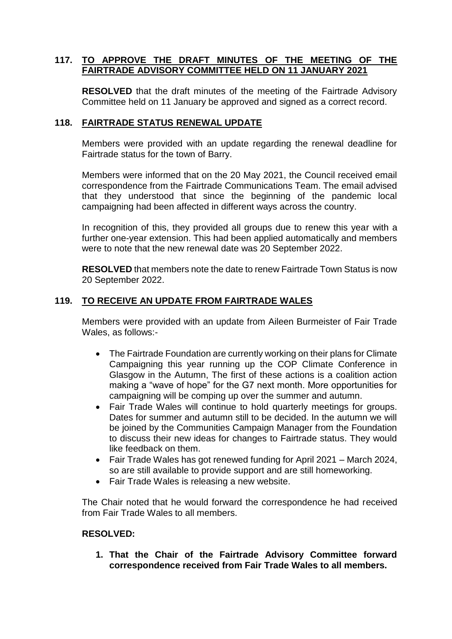# **117. TO APPROVE THE DRAFT MINUTES OF THE MEETING OF THE FAIRTRADE ADVISORY COMMITTEE HELD ON 11 JANUARY 2021**

**RESOLVED** that the draft minutes of the meeting of the Fairtrade Advisory Committee held on 11 January be approved and signed as a correct record.

# **118. FAIRTRADE STATUS RENEWAL UPDATE**

Members were provided with an update regarding the renewal deadline for Fairtrade status for the town of Barry.

Members were informed that on the 20 May 2021, the Council received email correspondence from the Fairtrade Communications Team. The email advised that they understood that since the beginning of the pandemic local campaigning had been affected in different ways across the country.

In recognition of this, they provided all groups due to renew this year with a further one-year extension. This had been applied automatically and members were to note that the new renewal date was 20 September 2022.

**RESOLVED** that members note the date to renew Fairtrade Town Status is now 20 September 2022.

# **119. TO RECEIVE AN UPDATE FROM FAIRTRADE WALES**

Members were provided with an update from Aileen Burmeister of Fair Trade Wales, as follows:-

- The Fairtrade Foundation are currently working on their plans for Climate Campaigning this year running up the COP Climate Conference in Glasgow in the Autumn, The first of these actions is a coalition action making a "wave of hope" for the G7 next month. More opportunities for campaigning will be comping up over the summer and autumn.
- Fair Trade Wales will continue to hold quarterly meetings for groups. Dates for summer and autumn still to be decided. In the autumn we will be joined by the Communities Campaign Manager from the Foundation to discuss their new ideas for changes to Fairtrade status. They would like feedback on them.
- Fair Trade Wales has got renewed funding for April 2021 March 2024, so are still available to provide support and are still homeworking.
- Fair Trade Wales is releasing a new website.

The Chair noted that he would forward the correspondence he had received from Fair Trade Wales to all members.

# **RESOLVED:**

**1. That the Chair of the Fairtrade Advisory Committee forward correspondence received from Fair Trade Wales to all members.**